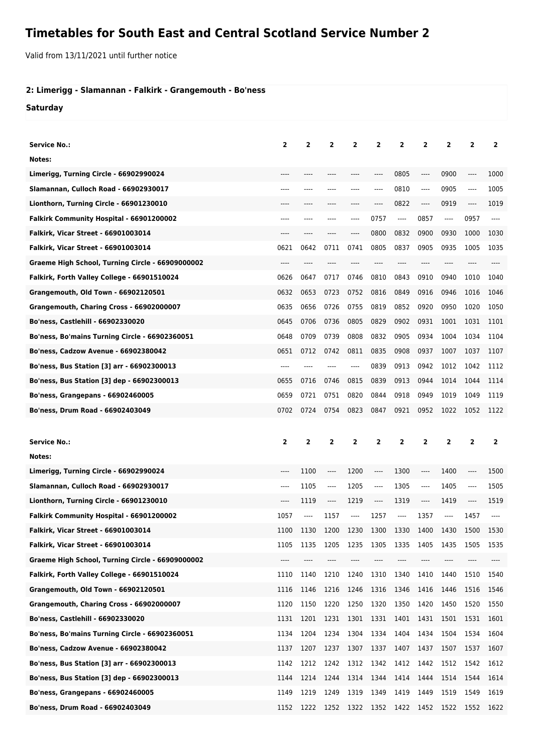## **Timetables for South East and Central Scotland Service Number 2**

Valid from 13/11/2021 until further notice

## **2: Limerigg - Slamannan - Falkirk - Grangemouth - Bo'ness**

**Saturday**

| <b>Service No.:</b>                              | $\mathbf{2}$   | 2              | 2              | 2              | $\overline{2}$ | 2                             | $\overline{\mathbf{2}}$ | 2              | 2            | 2              |
|--------------------------------------------------|----------------|----------------|----------------|----------------|----------------|-------------------------------|-------------------------|----------------|--------------|----------------|
| Notes:                                           |                |                |                |                |                |                               |                         |                |              |                |
| Limerigg, Turning Circle - 66902990024           |                |                |                |                | ----           | 0805                          | $-----$                 | 0900           | ----         | 1000           |
| Slamannan, Culloch Road - 66902930017            | ----           |                |                |                | ----           | 0810                          | ----                    | 0905           | ----         | 1005           |
| Lionthorn, Turning Circle - 66901230010          |                |                |                |                | ----           | 0822                          | ----                    | 0919           | ----         | 1019           |
| Falkirk Community Hospital - 66901200002         | ----           | ----           | ----           | ----           | 0757           | $\cdots$                      | 0857                    | $---$          | 0957         | ----           |
| <b>Falkirk, Vicar Street - 66901003014</b>       | ----           |                |                |                | 0800           | 0832                          | 0900                    | 0930           | 1000         | 1030           |
| <b>Falkirk, Vicar Street - 66901003014</b>       | 0621           | 0642           | 0711           | 0741           | 0805           | 0837                          | 0905                    | 0935           | 1005         | 1035           |
| Graeme High School, Turning Circle - 66909000002 | ----           |                |                |                |                |                               | ----                    | ----           |              |                |
| Falkirk, Forth Valley College - 66901510024      | 0626           | 0647           | 0717           | 0746           | 0810           | 0843                          | 0910                    | 0940           | 1010         | 1040           |
| Grangemouth, Old Town - 66902120501              | 0632           | 0653           | 0723           | 0752           | 0816           | 0849                          | 0916                    | 0946           | 1016         | 1046           |
| Grangemouth, Charing Cross - 66902000007         | 0635           | 0656           | 0726           | 0755           | 0819           | 0852                          | 0920                    | 0950           | 1020         | 1050           |
| Bo'ness, Castlehill - 66902330020                | 0645           | 0706           | 0736           | 0805           | 0829           | 0902                          | 0931                    | 1001           | 1031         | 1101           |
| Bo'ness, Bo'mains Turning Circle - 66902360051   | 0648           | 0709           | 0739           | 0808           | 0832           | 0905                          | 0934                    | 1004           | 1034         | 1104           |
| <b>Bo'ness, Cadzow Avenue - 66902380042</b>      | 0651           | 0712           | 0742           | 0811           | 0835           | 0908                          | 0937                    | 1007           | 1037         | 1107           |
| Bo'ness, Bus Station [3] arr - 66902300013       | ----           | ----           | ----           | ----           | 0839           | 0913                          | 0942                    | 1012           | 1042         | 1112           |
| Bo'ness, Bus Station [3] dep - 66902300013       | 0655           | 0716           | 0746           | 0815           | 0839           | 0913                          | 0944                    | 1014           | 1044         | 1114           |
| <b>Bo'ness, Grangepans - 66902460005</b>         | 0659           | 0721           | 0751           | 0820           | 0844           | 0918                          | 0949                    | 1019           | 1049         | 1119           |
| Bo'ness, Drum Road - 66902403049                 | 0702           | 0724           | 0754           | 0823           | 0847           | 0921                          | 0952                    | 1022           | 1052         | 1122           |
|                                                  |                |                |                |                |                |                               |                         |                |              |                |
|                                                  |                |                |                |                |                |                               |                         |                |              |                |
| <b>Service No.:</b>                              | $\overline{2}$ | $\overline{2}$ | $\overline{2}$ | $\overline{2}$ | $\overline{2}$ | $\overline{2}$                | $\overline{2}$          | $\overline{2}$ | $\mathbf{2}$ | $\overline{2}$ |
| Notes:                                           |                |                |                |                |                |                               |                         |                |              |                |
| Limerigg, Turning Circle - 66902990024           | ----           | 1100           | $-----$        | 1200           | $-----$        | 1300                          | ----                    | 1400           | ----         | 1500           |
| Slamannan, Culloch Road - 66902930017            | ----           | 1105           | $---$          | 1205           | ----           | 1305                          | ----                    | 1405           | ----         | 1505           |
| Lionthorn, Turning Circle - 66901230010          | ----           | 1119           | $---$          | 1219           | ----           | 1319                          | ----                    | 1419           |              | 1519           |
| <b>Falkirk Community Hospital - 66901200002</b>  | 1057           | ----           | 1157           | ----           | 1257           | $\hspace{1.5cm} \textbf{---}$ | 1357                    | ----           | 1457         | ----           |
| <b>Falkirk, Vicar Street - 66901003014</b>       | 1100           | 1130           | 1200           | 1230           | 1300 1330      |                               | 1400                    | 1430           | 1500         | 1530           |
| Falkirk, Vicar Street - 66901003014              | 1105           | 1135           | 1205           | 1235           | 1305           | 1335                          | 1405                    | 1435           | 1505         | 1535           |
| Graeme High School, Turning Circle - 66909000002 | ----           | ----           | ----           |                |                |                               | ----                    |                |              |                |
| Falkirk, Forth Valley College - 66901510024      | 1110           | 1140           | 1210           | 1240           | 1310           | 1340                          | 1410                    | 1440           | 1510         | 1540           |
| <b>Grangemouth, Old Town - 66902120501</b>       | 1116           | 1146           | 1216           | 1246           | 1316           | 1346                          | 1416                    | 1446           | 1516         | 1546           |
| Grangemouth, Charing Cross - 66902000007         | 1120           | 1150           | 1220           | 1250           | 1320           | 1350                          | 1420                    | 1450           | 1520         | 1550           |
| <b>Bo'ness, Castlehill - 66902330020</b>         | 1131           | 1201           | 1231           | 1301           | 1331           | 1401                          | 1431                    | 1501           | 1531         | 1601           |
| Bo'ness, Bo'mains Turning Circle - 66902360051   | 1134           | 1204           | 1234           | 1304           | 1334           | 1404                          | 1434                    | 1504           | 1534         | 1604           |
| <b>Bo'ness, Cadzow Avenue - 66902380042</b>      | 1137           | 1207           | 1237           | 1307           | 1337           | 1407                          | 1437                    | 1507           | 1537         | 1607           |
| Bo'ness, Bus Station [3] arr - 66902300013       | 1142           | 1212           | 1242           | 1312           | 1342           | 1412                          | 1442                    | 1512           | 1542         | 1612           |
| Bo'ness, Bus Station [3] dep - 66902300013       | 1144           | 1214           | 1244           | 1314           | 1344           | 1414                          | 1444                    | 1514           | 1544         | 1614           |
| <b>Bo'ness, Grangepans - 66902460005</b>         | 1149           | 1219           | 1249           | 1319           | 1349           | 1419                          | 1449                    | 1519           | 1549         | 1619           |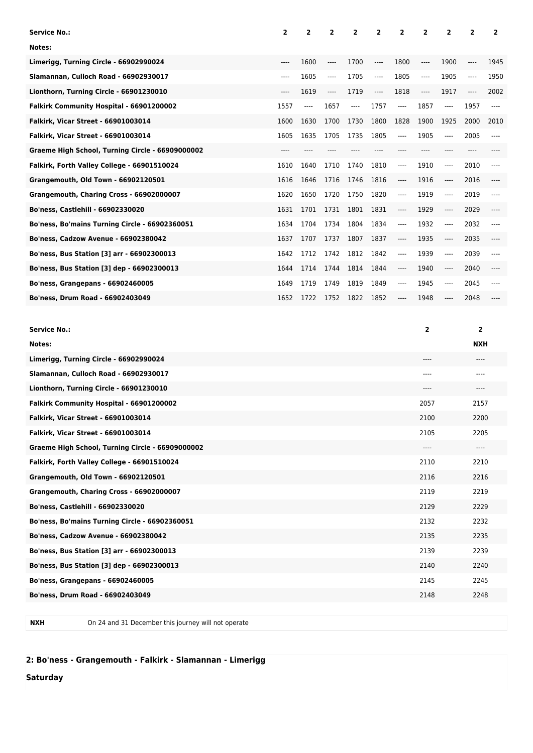| <b>Service No.:</b>                              | $\overline{2}$ | 2     | $\overline{2}$ | $\overline{2}$ | 2        | $\overline{2}$ | $\overline{2}$ | 2                             | $\overline{2}$ | $\overline{2}$ |
|--------------------------------------------------|----------------|-------|----------------|----------------|----------|----------------|----------------|-------------------------------|----------------|----------------|
| Notes:                                           |                |       |                |                |          |                |                |                               |                |                |
| Limerigg, Turning Circle - 66902990024           | $---$          | 1600  | $---$          | 1700           | $---$    | 1800           | $---$          | 1900                          | ----           | 1945           |
| Slamannan, Culloch Road - 66902930017            | ----           | 1605  | $---$          | 1705           | $\cdots$ | 1805           | $---$          | 1905                          | $---$          | 1950           |
| Lionthorn, Turning Circle - 66901230010          | $---$          | 1619  | $\cdots$       | 1719           | $\cdots$ | 1818           | $---$          | 1917                          | ----           | 2002           |
| Falkirk Community Hospital - 66901200002         | 1557           | $---$ | 1657           | $---$          | 1757     | $\cdots$       | 1857           | $\qquad \qquad - - -$         | 1957           | ----           |
| <b>Falkirk, Vicar Street - 66901003014</b>       | 1600           | 1630  | 1700           | 1730           | 1800     | 1828           | 1900           | 1925                          | 2000           | 2010           |
| Falkirk, Vicar Street - 66901003014              | 1605           | 1635  | 1705           | 1735           | 1805     | $-----$        | 1905           | $\qquad \qquad - - -$         | 2005           |                |
| Graeme High School, Turning Circle - 66909000002 | ----           |       |                |                |          |                |                |                               |                |                |
| Falkirk, Forth Valley College - 66901510024      | 1610           | 1640  | 1710           | 1740           | 1810     | $-----$        | 1910           | $\qquad \qquad - - -$         | 2010           |                |
| Grangemouth, Old Town - 66902120501              | 1616           | 1646  | 1716           | 1746           | 1816     | $\cdots$       | 1916           | $\hspace{1.5cm} \textbf{---}$ | 2016           | ----           |
| Grangemouth, Charing Cross - 66902000007         | 1620           | 1650  | 1720           | 1750           | 1820     | $-----$        | 1919           | $\qquad \qquad - - -$         | 2019           | ----           |
| Bo'ness, Castlehill - 66902330020                | 1631           | 1701  | 1731           | 1801           | 1831     | $-----$        | 1929           | $\hspace{1.5cm} \textbf{---}$ | 2029           | ----           |
| Bo'ness, Bo'mains Turning Circle - 66902360051   | 1634           | 1704  | 1734           | 1804           | 1834     | $-----$        | 1932           | $\qquad \qquad - - -$         | 2032           | ----           |
| <b>Bo'ness, Cadzow Avenue - 66902380042</b>      | 1637           | 1707  | 1737           | 1807           | 1837     | ----           | 1935           | $---$                         | 2035           |                |
| Bo'ness, Bus Station [3] arr - 66902300013       | 1642           | 1712  | 1742           | 1812           | 1842     | $-----$        | 1939           | $\qquad \qquad - - -$         | 2039           | ----           |
| Bo'ness, Bus Station [3] dep - 66902300013       | 1644           | 1714  | 1744           | 1814           | 1844     | $-----$        | 1940           | $\hspace{1.5cm} \textbf{---}$ | 2040           | ----           |
| Bo'ness, Grangepans - 66902460005                | 1649           | 1719  | 1749           | 1819           | 1849     | $\cdots$       | 1945           | $\qquad \qquad - - -$         | 2045           | ----           |
| Bo'ness, Drum Road - 66902403049                 | 1652           | 1722  | 1752           | 1822           | 1852     | ----           | 1948           | ----                          | 2048           |                |

| <b>Service No.:</b>                              | 2    | $\overline{2}$ |
|--------------------------------------------------|------|----------------|
| Notes:                                           |      | <b>NXH</b>     |
| Limerigg, Turning Circle - 66902990024           | ---- | ----           |
| Slamannan, Culloch Road - 66902930017            | ---- | ----           |
| Lionthorn, Turning Circle - 66901230010          | ---- | ----           |
| Falkirk Community Hospital - 66901200002         | 2057 | 2157           |
| Falkirk, Vicar Street - 66901003014              | 2100 | 2200           |
| Falkirk, Vicar Street - 66901003014              | 2105 | 2205           |
| Graeme High School, Turning Circle - 66909000002 | ---- | ----           |
| Falkirk, Forth Valley College - 66901510024      | 2110 | 2210           |
| Grangemouth, Old Town - 66902120501              | 2116 | 2216           |
| Grangemouth, Charing Cross - 66902000007         | 2119 | 2219           |
| Bo'ness, Castlehill - 66902330020                | 2129 | 2229           |
| Bo'ness, Bo'mains Turning Circle - 66902360051   | 2132 | 2232           |
| Bo'ness, Cadzow Avenue - 66902380042             | 2135 | 2235           |
| Bo'ness, Bus Station [3] arr - 66902300013       | 2139 | 2239           |
| Bo'ness, Bus Station [3] dep - 66902300013       | 2140 | 2240           |
| <b>Bo'ness, Grangepans - 66902460005</b>         | 2145 | 2245           |
| Bo'ness, Drum Road - 66902403049                 | 2148 | 2248           |
|                                                  |      |                |

**NXH** On 24 and 31 December this journey will not operate

## **2: Bo'ness - Grangemouth - Falkirk - Slamannan - Limerigg**

**Saturday**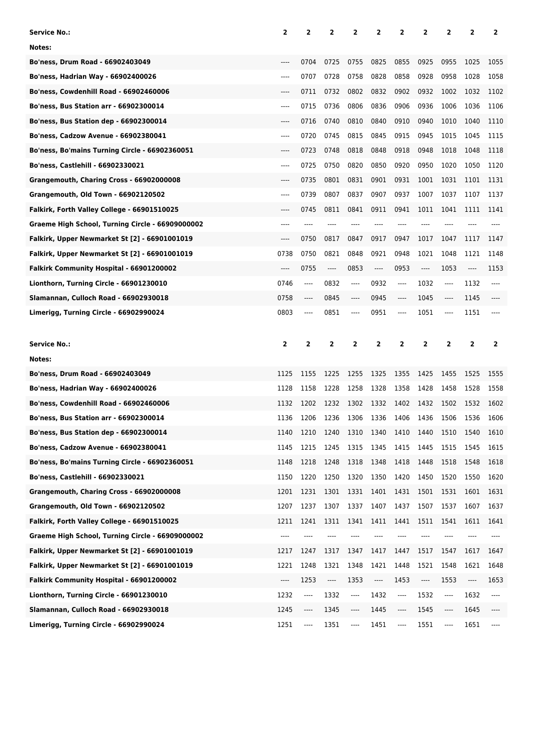| Service No.:                                     | 2       | 2    | 2                             | 2         | 2       | 2                        | 2    | 2         | 2     | 2            |
|--------------------------------------------------|---------|------|-------------------------------|-----------|---------|--------------------------|------|-----------|-------|--------------|
| Notes:                                           |         |      |                               |           |         |                          |      |           |       |              |
| Bo'ness, Drum Road - 66902403049                 | $---$   | 0704 | 0725                          | 0755      | 0825    | 0855                     | 0925 | 0955      | 1025  | 1055         |
| Bo'ness, Hadrian Way - 66902400026               | $-----$ | 0707 | 0728                          | 0758      | 0828    | 0858                     | 0928 | 0958      | 1028  | 1058         |
| Bo'ness, Cowdenhill Road - 66902460006           | ----    | 0711 | 0732                          | 0802      | 0832    | 0902                     | 0932 | 1002      | 1032  | 1102         |
| Bo'ness, Bus Station arr - 66902300014           | $-----$ | 0715 | 0736                          | 0806      | 0836    | 0906                     | 0936 | 1006      | 1036  | 1106         |
| <b>Bo'ness, Bus Station dep - 66902300014</b>    | $---$   | 0716 | 0740                          | 0810      | 0840    | 0910                     | 0940 | 1010      | 1040  | 1110         |
| Bo'ness, Cadzow Avenue - 66902380041             | ----    | 0720 | 0745                          | 0815      | 0845    | 0915                     | 0945 | 1015      | 1045  | 1115         |
| Bo'ness, Bo'mains Turning Circle - 66902360051   | ----    | 0723 | 0748                          | 0818      | 0848    | 0918                     | 0948 | 1018      | 1048  | 1118         |
| Bo'ness, Castlehill - 66902330021                | $-----$ | 0725 | 0750                          | 0820      | 0850    | 0920                     | 0950 | 1020      | 1050  | 1120         |
| Grangemouth, Charing Cross - 66902000008         | $---$   | 0735 | 0801                          | 0831      | 0901    | 0931                     | 1001 | 1031      | 1101  | 1131         |
| Grangemouth, Old Town - 66902120502              | ----    | 0739 | 0807                          | 0837      | 0907    | 0937                     | 1007 | 1037      | 1107  | 1137         |
| Falkirk, Forth Valley College - 66901510025      | ----    | 0745 | 0811                          | 0841      | 0911    | 0941                     | 1011 | 1041      | 1111  | 1141         |
| Graeme High School, Turning Circle - 66909000002 | ----    | ---- | ----                          | ----      | ----    | ----                     | ---  |           |       |              |
| Falkirk, Upper Newmarket St [2] - 66901001019    | $---$   | 0750 | 0817                          | 0847      | 0917    | 0947                     | 1017 | 1047      | 1117  | 1147         |
| Falkirk, Upper Newmarket St [2] - 66901001019    | 0738    | 0750 | 0821                          | 0848      | 0921    | 0948                     | 1021 | 1048      | 1121  | 1148         |
| Falkirk Community Hospital - 66901200002         | $-----$ | 0755 | $\hspace{1.5cm} \textbf{---}$ | 0853      | $-----$ | 0953                     | ---- | 1053      | $---$ | 1153         |
| Lionthorn, Turning Circle - 66901230010          | 0746    | ---- | 0832                          | ----      | 0932    | $---$                    | 1032 | ----      | 1132  | ----         |
| Slamannan, Culloch Road - 66902930018            | 0758    | ---- | 0845                          | $-----$   | 0945    | $-----$                  | 1045 | ----      | 1145  |              |
| Limerigg, Turning Circle - 66902990024           | 0803    | ---- | 0851                          | ----      | 0951    | $-----$                  | 1051 | ----      | 1151  |              |
|                                                  |         |      |                               |           |         |                          |      |           |       |              |
|                                                  |         |      |                               |           |         |                          |      |           |       |              |
| Service No.:                                     | 2       | 2    | 2                             | 2         | 2       | $\overline{2}$           | 2    | 2         | 2     | $\mathbf{2}$ |
| Notes:                                           |         |      |                               |           |         |                          |      |           |       |              |
| Bo'ness, Drum Road - 66902403049                 | 1125    | 1155 | 1225                          | 1255      | 1325    | 1355                     | 1425 | 1455      | 1525  | 1555         |
| Bo'ness, Hadrian Way - 66902400026               | 1128    | 1158 | 1228                          | 1258      | 1328    | 1358                     | 1428 | 1458      | 1528  | 1558         |
| Bo'ness, Cowdenhill Road - 66902460006           | 1132    | 1202 | 1232                          | 1302      | 1332    | 1402                     | 1432 | 1502      | 1532  | 1602         |
| <b>Bo'ness, Bus Station arr - 66902300014</b>    | 1136    | 1206 | 1236                          | 1306      | 1336    | 1406                     | 1436 | 1506      | 1536  | 1606         |
| Bo'ness, Bus Station dep - 66902300014           | 1140    | 1210 | 1240                          | 1310 1340 |         | 1410                     | 1440 | 1510 1540 |       | 1610         |
| Bo'ness, Cadzow Avenue - 66902380041             | 1145    | 1215 | 1245                          | 1315      | 1345    | 1415                     | 1445 | 1515      | 1545  | 1615         |
| Bo'ness, Bo'mains Turning Circle - 66902360051   | 1148    | 1218 | 1248                          | 1318      | 1348    | 1418                     | 1448 | 1518      | 1548  | 1618         |
| Bo'ness, Castlehill - 66902330021                | 1150    | 1220 | 1250                          | 1320      | 1350    | 1420                     | 1450 | 1520      | 1550  | 1620         |
| Grangemouth, Charing Cross - 66902000008         | 1201    | 1231 | 1301                          | 1331      | 1401    | 1431                     | 1501 | 1531      | 1601  | 1631         |
| Grangemouth, Old Town - 66902120502              | 1207    | 1237 | 1307                          | 1337      | 1407    | 1437                     | 1507 | 1537      | 1607  | 1637         |
| Falkirk, Forth Valley College - 66901510025      | 1211    | 1241 | 1311                          | 1341      | 1411    | 1441                     | 1511 | 1541      | 1611  | 1641         |
| Graeme High School, Turning Circle - 66909000002 | $---$   |      |                               |           |         |                          |      |           |       |              |
| Falkirk, Upper Newmarket St [2] - 66901001019    | 1217    | 1247 | 1317                          | 1347      | 1417    | 1447                     | 1517 | 1547      | 1617  | 1647         |
| Falkirk, Upper Newmarket St [2] - 66901001019    | 1221    | 1248 | 1321                          | 1348      | 1421    | 1448                     | 1521 | 1548      | 1621  | 1648         |
| Falkirk Community Hospital - 66901200002         | ----    | 1253 | ----                          | 1353      | ----    | 1453                     | ---- | 1553      | ----  | 1653         |
| Lionthorn, Turning Circle - 66901230010          | 1232    | ---- | 1332                          | ----      | 1432    | $\overline{\phantom{a}}$ | 1532 | ----      | 1632  | ----         |
| Slamannan, Culloch Road - 66902930018            | 1245    | ---- | 1345                          | ----      | 1445    | ----                     | 1545 | ----      | 1645  | ----         |